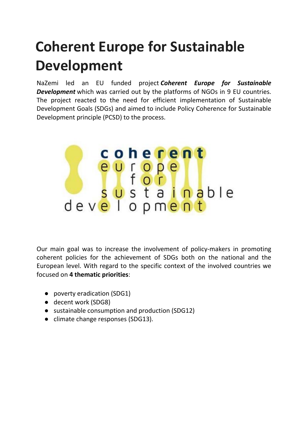## **Coherent Europe for Sustainable Development**

NaZemi led an EU funded project *Coherent Europe for Sustainable Development* which was carried out by the platforms of NGOs in 9 EU countries. The project reacted to the need for efficient implementation of Sustainable Development Goals (SDGs) and aimed to include Policy Coherence for Sustainable Development principle (PCSD) to the process.



Our main goal was to increase the involvement of policy-makers in promoting coherent policies for the achievement of SDGs both on the national and the European level. With regard to the specific context of the involved countries we focused on **4 thematic priorities**:

- poverty eradication (SDG1)
- decent work (SDG8)
- sustainable consumption and production (SDG12)
- climate change responses (SDG13).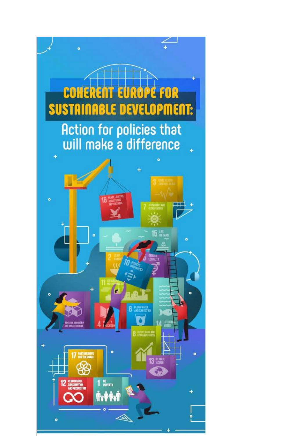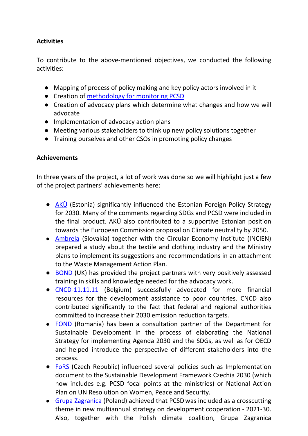## **Activities**

To contribute to the above-mentioned objectives, we conducted the following activities:

- Mapping of process of policy making and key policy actors involved in it
- Creation of [methodology for monitoring PCSD](https://www.bond.org.uk/resources/ensuring-policy-coherence-in-sustainable-development)
- Creation of advocacy plans which determine what changes and how we will advocate
- Implementation of advocacy action plans
- Meeting various stakeholders to think up new policy solutions together
- Training ourselves and other CSOs in promoting policy changes

## **Achievements**

In three years of the project, a lot of work was done so we will highlight just a few of the project partners' achievements here:

- [AKÜ](https://www.terveilm.ee/leht/teabekeskuse-teemad/arengukoostoo/poliitikate-sidusus/) (Estonia) significantly influenced the Estonian Foreign Policy Strategy for 2030. Many of the comments regarding SDGs and PCSD were included in the final product. AKÜ also contributed to a supportive Estonian position towards the European Commission proposal on Climate neutrality by 2050.
- [Ambrela](https://ambrela.org/projekty/koherentna-europa-pre-trvalo-udrzatelny-rozvoj-projekt-pre-podporu-politik-zameranych-na-trvalo-udrzatelny-rozvoj-ktore-mozu-viest-k-zmene/) (Slovakia) together with the Circular Economy Institute (INCIEN) prepared a study about the textile and clothing industry and the Ministry plans to implement its suggestions and recommendations in an attachment to the Waste Management Action Plan.
- [BOND](https://www.bond.org.uk/resources/ensuring-policy-coherence-in-sustainable-development) (UK) has provided the project partners with very positively assessed training in skills and knowledge needed for the advocacy work.
- [CNCD-11.11.11](https://www.cncd.be/) (Belgium) successfully advocated for more financial resources for the development assistance to poor countries. CNCD also contributed significantly to the fact that federal and regional authorities committed to increase their 2030 emission reduction targets.
- [FOND](http://www.fondromania.org/proiectul-european-coerenta-politicilor) (Romania) has been a consultation partner of the Department for Sustainable Development in the process of elaborating the National Strategy for implementing Agenda 2030 and the SDGs, as well as for OECD and helped introduce the perspective of different stakeholders into the process.
- [FoRS](http://www.fors.cz/koherence-politik-pro-rozvoj/#.X9CiwNhPXIV) (Czech Republic) influenced several policies such as Implementation document to the Sustainable Development Framework Czechia 2030 (which now includes e.g. PCSD focal points at the ministries) or National Action Plan on UN Resolution on Women, Peace and Security.
- [Grupa Zagranica](https://zagranica.org.pl/) (Poland) achieved that PCSD was included as a crosscutting theme in new multiannual strategy on development cooperation - 2021-30. Also, together with the Polish climate coalition, Grupa Zagranica